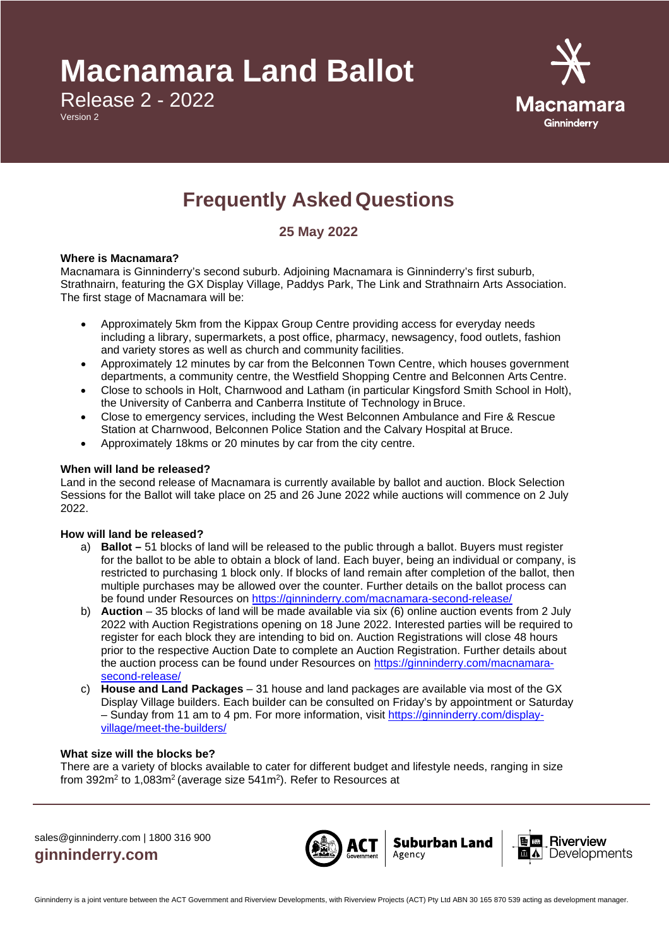# **Macnamara Land Ballot**

Release 2 - 2022

Version 2



## **Frequently AskedQuestions**

### **25 May 2022**

#### **Where is Macnamara?**

Macnamara is Ginninderry's second suburb. Adjoining Macnamara is Ginninderry's first suburb, Strathnairn, featuring the GX Display Village, Paddys Park, The Link and Strathnairn Arts Association. The first stage of Macnamara will be:

- Approximately 5km from the Kippax Group Centre providing access for everyday needs including a library, supermarkets, a post office, pharmacy, newsagency, food outlets, fashion and variety stores as well as church and community facilities.
- Approximately 12 minutes by car from the Belconnen Town Centre, which houses government departments, a community centre, the Westfield Shopping Centre and Belconnen Arts Centre.
- Close to schools in Holt, Charnwood and Latham (in particular Kingsford Smith School in Holt), the University of Canberra and Canberra Institute of Technology inBruce.
- Close to emergency services, including the West Belconnen Ambulance and Fire & Rescue Station at Charnwood, Belconnen Police Station and the Calvary Hospital at Bruce.
- Approximately 18kms or 20 minutes by car from the city centre.

#### **When will land be released?**

Land in the second release of Macnamara is currently available by ballot and auction. Block Selection Sessions for the Ballot will take place on 25 and 26 June 2022 while auctions will commence on 2 July 2022.

#### **How will land be released?**

- a) **Ballot –** 51 blocks of land will be released to the public through a ballot. Buyers must register for the ballot to be able to obtain a block of land. Each buyer, being an individual or company, is restricted to purchasing 1 block only. If blocks of land remain after completion of the ballot, then multiple purchases may be allowed over the counter. Further details on the ballot process can be found under Resources on<https://ginninderry.com/macnamara-second-release/>
- b) **Auction** 35 blocks of land will be made available via six (6) online auction events from 2 July 2022 with Auction Registrations opening on 18 June 2022. Interested parties will be required to register for each block they are intending to bid on. Auction Registrations will close 48 hours prior to the respective Auction Date to complete an Auction Registration. Further details about the auction process can be found under Resources on [https://ginninderry.com/macnamara](https://ginninderry.com/macnamara-second-release/)[second-release/](https://ginninderry.com/macnamara-second-release/)
- c) **House and Land Packages**  31 house and land packages are available via most of the GX Display Village builders. Each builder can be consulted on Friday's by appointment or Saturday – Sunday from 11 am to 4 pm. For more information, visit [https://ginninderry.com/display](https://ginninderry.com/display-village/meet-the-builders/)[village/meet-the-builders/](https://ginninderry.com/display-village/meet-the-builders/)

#### **What size will the blocks be?**

There are a variety of blocks available to cater for different budget and lifestyle needs, ranging in size from 392m<sup>2</sup> to 1,083m<sup>2</sup> (average size 541m<sup>2</sup>). Refer to Resources at

sales@ginninderry.com | 1800 316 900 **ginninderry.com**



**Suburban Land** 

Agency

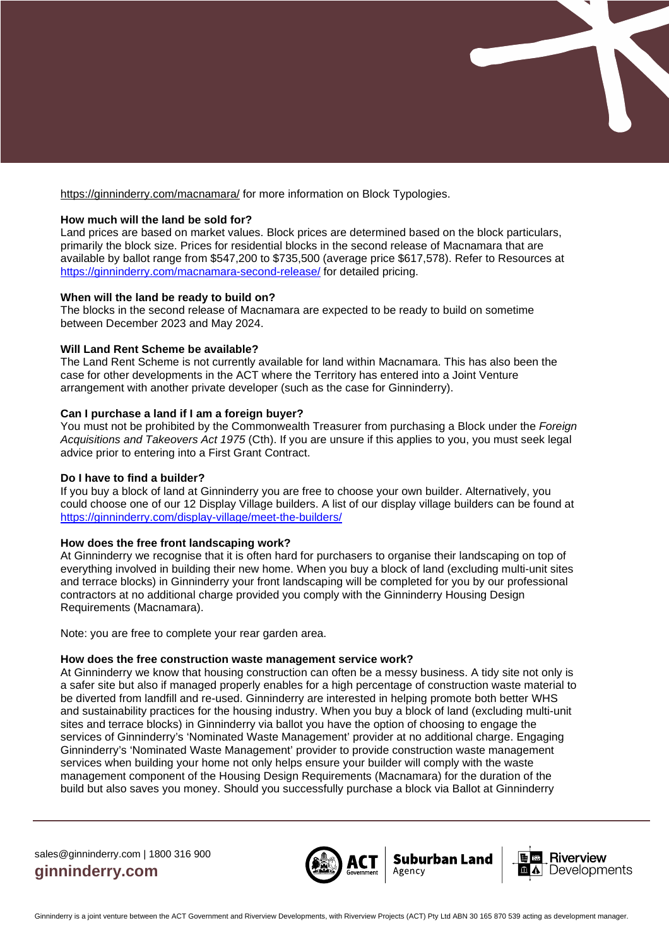

#### **How much will the land be sold for?**

Land prices are based on market values. Block prices are determined based on the block particulars, primarily the block size. Prices for residential blocks in the second release of Macnamara that are available by ballot range from \$547,200 to \$735,500 (average price \$617,578). Refer to Resources at <https://ginninderry.com/macnamara-second-release/> for detailed pricing.

#### **When will the land be ready to build on?**

The blocks in the second release of Macnamara are expected to be ready to build on sometime between December 2023 and May 2024.

#### **Will Land Rent Scheme be available?**

The Land Rent Scheme is not currently available for land within Macnamara. This has also been the case for other developments in the ACT where the Territory has entered into a Joint Venture arrangement with another private developer (such as the case for Ginninderry).

#### **Can I purchase a land if I am a foreign buyer?**

You must not be prohibited by the Commonwealth Treasurer from purchasing a Block under the *Foreign Acquisitions and Takeovers Act 1975* (Cth). If you are unsure if this applies to you, you must seek legal advice prior to entering into a First Grant Contract.

#### **Do I have to find a builder?**

If you buy a block of land at Ginninderry you are free to choose your own builder. Alternatively, you could choose one of our 12 Display Village builders. A list of our display village builders can be found at <https://ginninderry.com/display-village/meet-the-builders/>

#### **How does the free front landscaping work?**

At Ginninderry we recognise that it is often hard for purchasers to organise their landscaping on top of everything involved in building their new home. When you buy a block of land (excluding multi-unit sites and terrace blocks) in Ginninderry your front landscaping will be completed for you by our professional contractors at no additional charge provided you comply with the Ginninderry Housing Design Requirements (Macnamara).

Note: you are free to complete your rear garden area.

#### **How does the free construction waste management service work?**

At Ginninderry we know that housing construction can often be a messy business. A tidy site not only is a safer site but also if managed properly enables for a high percentage of construction waste material to be diverted from landfill and re-used. Ginninderry are interested in helping promote both better WHS and sustainability practices for the housing industry. When you buy a block of land (excluding multi-unit sites and terrace blocks) in Ginninderry via ballot you have the option of choosing to engage the services of Ginninderry's 'Nominated Waste Management' provider at no additional charge. Engaging Ginninderry's 'Nominated Waste Management' provider to provide construction waste management services when building your home not only helps ensure your builder will comply with the waste management component of the Housing Design Requirements (Macnamara) for the duration of the build but also saves you money. Should you successfully purchase a block via Ballot at Ginninderry

sales@ginninderry.com | 1800 316 900 **ginninderry.com**



Suburban Land

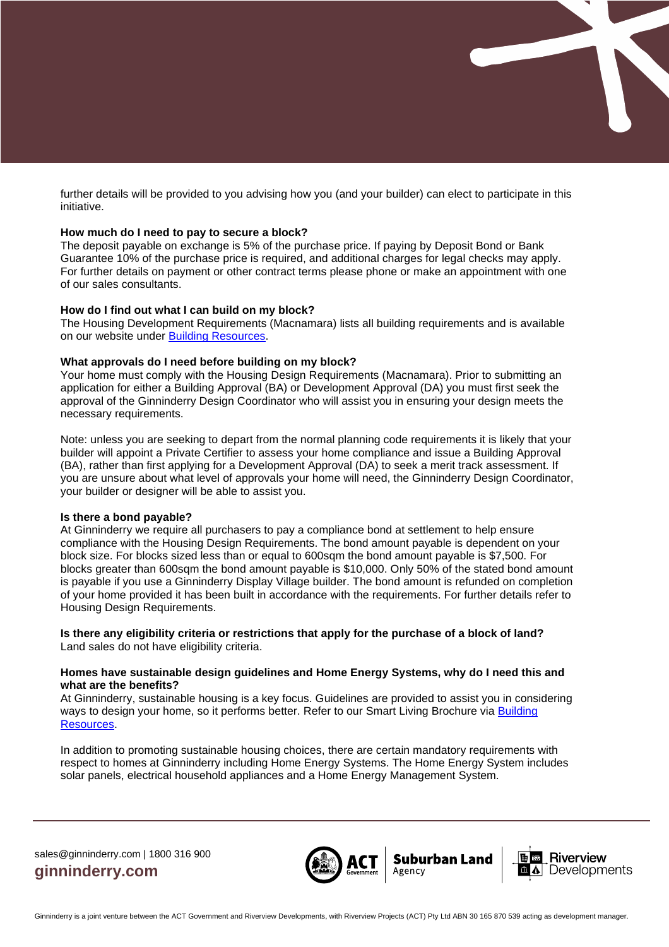further details will be provided to you advising how you (and your builder) can elect to participate in this initiative.

#### **How much do I need to pay to secure a block?**

The deposit payable on exchange is 5% of the purchase price. If paying by Deposit Bond or Bank Guarantee 10% of the purchase price is required, and additional charges for legal checks may apply. For further details on payment or other contract terms please phone or make an appointment with one of our sales consultants.

#### **How do I find out what I can build on my block?**

The Housing Development Requirements (Macnamara) lists all building requirements and is available on our website under **Building Resources**.

#### **What approvals do I need before building on my block?**

Your home must comply with the Housing Design Requirements (Macnamara). Prior to submitting an application for either a Building Approval (BA) or Development Approval (DA) you must first seek the approval of the Ginninderry Design Coordinator who will assist you in ensuring your design meets the necessary requirements.

Note: unless you are seeking to depart from the normal planning code requirements it is likely that your builder will appoint a Private Certifier to assess your home compliance and issue a Building Approval (BA), rather than first applying for a Development Approval (DA) to seek a merit track assessment. If you are unsure about what level of approvals your home will need, the Ginninderry Design Coordinator, your builder or designer will be able to assist you.

#### **Is there a bond payable?**

At Ginninderry we require all purchasers to pay a compliance bond at settlement to help ensure compliance with the Housing Design Requirements. The bond amount payable is dependent on your block size. For blocks sized less than or equal to 600sqm the bond amount payable is \$7,500. For blocks greater than 600sqm the bond amount payable is \$10,000. Only 50% of the stated bond amount is payable if you use a Ginninderry Display Village builder. The bond amount is refunded on completion of your home provided it has been built in accordance with the requirements. For further details refer to Housing Design Requirements.

#### **Is there any eligibility criteria or restrictions that apply for the purchase of a block of land?** Land sales do not have eligibility criteria.

#### **Homes have sustainable design guidelines and Home Energy Systems, why do I need this and what are the benefits?**

At Ginninderry, sustainable housing is a key focus. Guidelines are provided to assist you in considering ways to design your home, so it performs better. Refer to our Smart Living Brochure via Building [Resources.](https://ginninderry.com/building/builders-resources/)

In addition to promoting sustainable housing choices, there are certain mandatory requirements with respect to homes at Ginninderry including Home Energy Systems. The Home Energy System includes solar panels, electrical household appliances and a Home Energy Management System.

sales@ginninderry.com | 1800 316 900 **ginninderry.com**